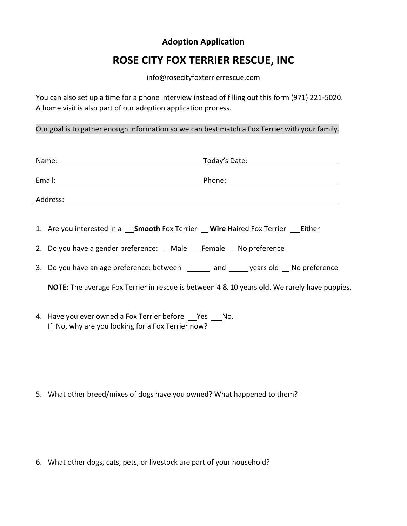## **Adoption Application**

## **ROSE CITY FOX TERRIER RESCUE, INC**

## info@rosecityfoxterrierrescue.com

You can also set up a time for a phone interview instead of filling out this form (971) 221-5020. A home visit is also part of our adoption application process.

Our goal is to gather enough information so we can best match a Fox Terrier with your family.

| Name:    |                                                                                                          | Today's Date: |
|----------|----------------------------------------------------------------------------------------------------------|---------------|
| Email:   |                                                                                                          | Phone:        |
| Address: |                                                                                                          |               |
|          |                                                                                                          |               |
|          | 1. Are you interested in a ___ Smooth Fox Terrier ___ Wire Haired Fox Terrier ___ Either                 |               |
|          | 2. Do you have a gender preference: Male Female No preference                                            |               |
|          | 3. Do you have an age preference: between ______ and _____ years old __ No preference                    |               |
|          | <b>NOTE:</b> The average Fox Terrier in rescue is between 4 & 10 years old. We rarely have puppies.      |               |
|          | 4. Have you ever owned a Fox Terrier before Pes No.<br>If No, why are you looking for a Fox Terrier now? |               |

5. What other breed/mixes of dogs have you owned? What happened to them?

6. What other dogs, cats, pets, or livestock are part of your household?